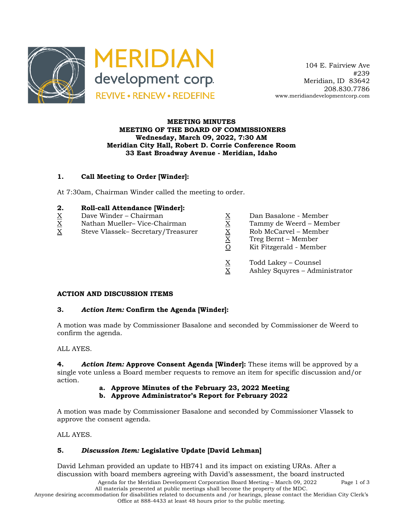

 104 E. Fairview Ave #239 Meridian, ID 83642 208.830.7786 www.meridiandevelopmentcorp.com

### **MEETING MINUTES MEETING OF THE BOARD OF COMMISSIONERS Wednesday, March 09, 2022, 7:30 AM Meridian City Hall, Robert D. Corrie Conference Room 33 East Broadway Avenue - Meridian, Idaho**

# **1. Call Meeting to Order [Winder]:**

At 7:30am, Chairman Winder called the meeting to order.

#### **2. Roll-call Attendance [Winder]:**

- 
- $X$  Nathan Mueller–Vice-Chairman  $X$  Tammy de Weerd Member
- $\begin{array}{lll} \underline{X} & \text{Dave Winder} \text{Chairman} & \underline{X} & \text{Dan Basalone Member} \\ \underline{X} & \text{Nathan Mueller} \text{Vice-Chairman} & \underline{X} & \text{Tammy de Weerd Memb. \\ \underline{X} & \text{Steve Vlassek} \text{Secretary/Treasure} & \underline{X} & \text{Rob McCarvel Member} \\ \underline{X} & \text{Treg Bernt Member} & \end{array}$ X Steve Vlassek– Secretary/Treasurer X Rob McCarvel – Member
	-
	-
	-
	- X Treg Bernt Member
	- O Kit Fitzgerald Member
	- $\frac{X}{X}$  Todd Lakey Counsel<br>X Ashley Squyres Adm
	- Ashley Squyres Administrator

# **ACTION AND DISCUSSION ITEMS**

#### **3.** *Action Item:* **Confirm the Agenda [Winder]:**

A motion was made by Commissioner Basalone and seconded by Commissioner de Weerd to confirm the agenda.

ALL AYES.

**4.** *Action Item:* **Approve Consent Agenda [Winder]:** These items will be approved by a single vote unless a Board member requests to remove an item for specific discussion and/or action.

**a. Approve Minutes of the February 23, 2022 Meeting**

**b. Approve Administrator's Report for February 2022**

A motion was made by Commissioner Basalone and seconded by Commissioner Vlassek to approve the consent agenda.

ALL AYES.

# **5.** *Discussion Item:* **Legislative Update [David Lehman]**

David Lehman provided an update to HB741 and its impact on existing URAs. After a discussion with board members agreeing with David's assessment, the board instructed

Agenda for the Meridian Development Corporation Board Meeting – March 09, 2022 Page 1 of 3 All materials presented at public meetings shall become the property of the MDC.

Anyone desiring accommodation for disabilities related to documents and /or hearings, please contact the Meridian City Clerk's Office at 888-4433 at least 48 hours prior to the public meeting.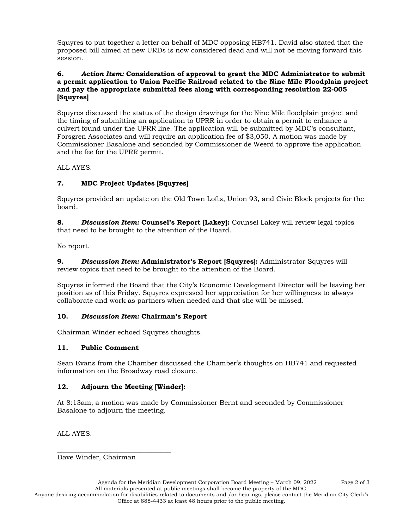Squyres to put together a letter on behalf of MDC opposing HB741. David also stated that the proposed bill aimed at new URDs is now considered dead and will not be moving forward this session.

### **6.** *Action Item:* **Consideration of approval to grant the MDC Administrator to submit a permit application to Union Pacific Railroad related to the Nine Mile Floodplain project and pay the appropriate submittal fees along with corresponding resolution 22-005 [Squyres]**

Squyres discussed the status of the design drawings for the Nine Mile floodplain project and the timing of submitting an application to UPRR in order to obtain a permit to enhance a culvert found under the UPRR line. The application will be submitted by MDC's consultant, Forsgren Associates and will require an application fee of \$3,050. A motion was made by Commissioner Basalone and seconded by Commissioner de Weerd to approve the application and the fee for the UPRR permit.

ALL AYES.

# **7. MDC Project Updates [Squyres]**

Squyres provided an update on the Old Town Lofts, Union 93, and Civic Block projects for the board.

**8.** *Discussion Item:* **Counsel's Report [Lakey]:** Counsel Lakey will review legal topics that need to be brought to the attention of the Board.

No report.

**9.** *Discussion Item:* **Administrator's Report [Squyres]:** Administrator Squyres will review topics that need to be brought to the attention of the Board.

Squyres informed the Board that the City's Economic Development Director will be leaving her position as of this Friday. Squyres expressed her appreciation for her willingness to always collaborate and work as partners when needed and that she will be missed.

# **10.** *Discussion Item:* **Chairman's Report**

Chairman Winder echoed Squyres thoughts.

# **11. Public Comment**

Sean Evans from the Chamber discussed the Chamber's thoughts on HB741 and requested information on the Broadway road closure.

# **12. Adjourn the Meeting [Winder]:**

At 8:13am, a motion was made by Commissioner Bernt and seconded by Commissioner Basalone to adjourn the meeting.

ALL AYES.

Dave Winder, Chairman

\_\_\_\_\_\_\_\_\_\_\_\_\_\_\_\_\_\_\_\_\_\_\_\_\_\_\_\_\_\_\_\_\_\_

Anyone desiring accommodation for disabilities related to documents and /or hearings, please contact the Meridian City Clerk's Office at 888-4433 at least 48 hours prior to the public meeting.